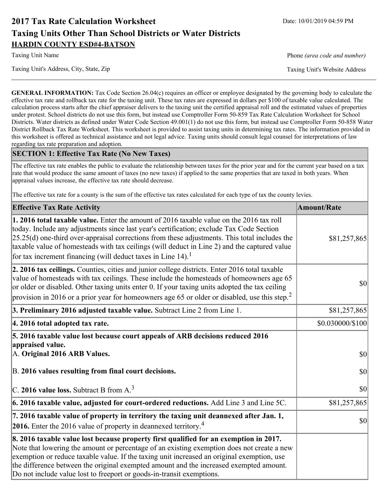# **2017 Tax Rate Calculation Worksheet** Date: 10/01/2019 04:59 PM **Taxing Units Other Than School Districts or Water Districts HARDIN COUNTY ESD#4-BATSON**

Taxing Unit Name **Phone** *(area code and number)* Phone *(area code and number)* 

Taxing Unit's Address, City, State, Zip Taxing Unit's Website Address

**GENERAL INFORMATION:** Tax Code Section 26.04(c) requires an officer or employee designated by the governing body to calculate the effective tax rate and rollback tax rate for the taxing unit. These tax rates are expressed in dollars per \$100 of taxable value calculated. The calculation process starts after the chief appraiser delivers to the taxing unit the certified appraisal roll and the estimated values of properties under protest. School districts do not use this form, but instead use Comptroller Form 50-859 Tax Rate Calculation Worksheet for School Districts. Water districts as defined under Water Code Section 49.001(1) do not use this form, but instead use Comptroller Form 50-858 Water District Rollback Tax Rate Worksheet. This worksheet is provided to assist taxing units in determining tax rates. The information provided in this worksheet is offered as technical assistance and not legal advice. Taxing units should consult legal counsel for interpretations of law regarding tax rate preparation and adoption.

## **SECTION 1: Effective Tax Rate (No New Taxes)**

The effective tax rate enables the public to evaluate the relationship between taxes for the prior year and for the current year based on a tax rate that would produce the same amount of taxes (no new taxes) if applied to the same properties that are taxed in both years. When appraisal values increase, the effective tax rate should decrease.

The effective tax rate for a county is the sum of the effective tax rates calculated for each type of tax the county levies.

| <b>Effective Tax Rate Activity</b>                                                                                                                                                                                                                                                                                                                                                                                                                                             | <b>Amount/Rate</b> |
|--------------------------------------------------------------------------------------------------------------------------------------------------------------------------------------------------------------------------------------------------------------------------------------------------------------------------------------------------------------------------------------------------------------------------------------------------------------------------------|--------------------|
| <b>1. 2016 total taxable value.</b> Enter the amount of 2016 taxable value on the 2016 tax roll<br>today. Include any adjustments since last year's certification; exclude Tax Code Section<br>$[25.25(d)$ one-third over-appraisal corrections from these adjustments. This total includes the<br>taxable value of homesteads with tax ceilings (will deduct in Line 2) and the captured value<br>for tax increment financing (will deduct taxes in Line $14$ ). <sup>1</sup> | \$81,257,865       |
| 2. 2016 tax ceilings. Counties, cities and junior college districts. Enter 2016 total taxable<br>value of homesteads with tax ceilings. These include the homesteads of homeowners age 65<br>or older or disabled. Other taxing units enter 0. If your taxing units adopted the tax ceiling<br>provision in 2016 or a prior year for homeowners age 65 or older or disabled, use this step. <sup>2</sup>                                                                       | 30                 |
| 3. Preliminary 2016 adjusted taxable value. Subtract Line 2 from Line 1.                                                                                                                                                                                                                                                                                                                                                                                                       | \$81,257,865       |
| 4. 2016 total adopted tax rate.                                                                                                                                                                                                                                                                                                                                                                                                                                                | \$0.030000/\$100   |
| 5. 2016 taxable value lost because court appeals of ARB decisions reduced 2016<br>appraised value.<br>A. Original 2016 ARB Values.                                                                                                                                                                                                                                                                                                                                             | $ 10\rangle$       |
| B. 2016 values resulting from final court decisions.                                                                                                                                                                                                                                                                                                                                                                                                                           | 30                 |
| C. 2016 value loss. Subtract B from $A3$                                                                                                                                                                                                                                                                                                                                                                                                                                       | 30                 |
| 6. 2016 taxable value, adjusted for court-ordered reductions. Add Line 3 and Line 5C.                                                                                                                                                                                                                                                                                                                                                                                          | \$81,257,865       |
| 7. 2016 taxable value of property in territory the taxing unit deannexed after Jan. 1,<br><b>2016.</b> Enter the 2016 value of property in deannexed territory. <sup>4</sup>                                                                                                                                                                                                                                                                                                   | $ 10\rangle$       |
| 8. 2016 taxable value lost because property first qualified for an exemption in 2017.<br>Note that lowering the amount or percentage of an existing exemption does not create a new<br>exemption or reduce taxable value. If the taxing unit increased an original exemption, use<br>the difference between the original exempted amount and the increased exempted amount.<br>Do not include value lost to freeport or goods-in-transit exemptions.                           |                    |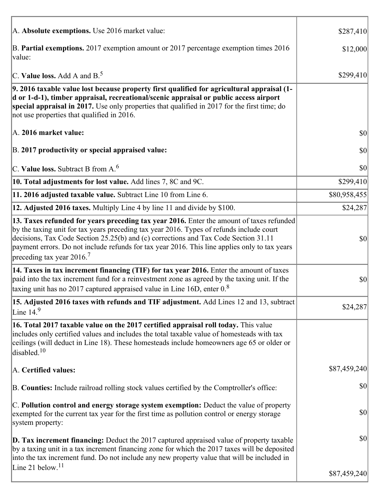| A. Absolute exemptions. Use 2016 market value:                                                                                                                                                                                                                                                                                                                                                                         | \$287,410    |
|------------------------------------------------------------------------------------------------------------------------------------------------------------------------------------------------------------------------------------------------------------------------------------------------------------------------------------------------------------------------------------------------------------------------|--------------|
| B. Partial exemptions. 2017 exemption amount or 2017 percentage exemption times 2016<br>value:                                                                                                                                                                                                                                                                                                                         | \$12,000     |
| C. Value loss. Add A and $B^5$                                                                                                                                                                                                                                                                                                                                                                                         | \$299,410    |
| 9. 2016 taxable value lost because property first qualified for agricultural appraisal (1-<br>d or 1-d-1), timber appraisal, recreational/scenic appraisal or public access airport<br>special appraisal in 2017. Use only properties that qualified in 2017 for the first time; do<br>not use properties that qualified in 2016.                                                                                      |              |
| A. 2016 market value:                                                                                                                                                                                                                                                                                                                                                                                                  | \$0          |
| B. 2017 productivity or special appraised value:                                                                                                                                                                                                                                                                                                                                                                       | 30           |
| C. Value loss. Subtract B from $A6$                                                                                                                                                                                                                                                                                                                                                                                    | 30           |
| 10. Total adjustments for lost value. Add lines 7, 8C and 9C.                                                                                                                                                                                                                                                                                                                                                          | \$299,410    |
| 11. 2016 adjusted taxable value. Subtract Line 10 from Line 6.                                                                                                                                                                                                                                                                                                                                                         | \$80,958,455 |
| 12. Adjusted 2016 taxes. Multiply Line 4 by line 11 and divide by \$100.                                                                                                                                                                                                                                                                                                                                               | \$24,287     |
| 13. Taxes refunded for years preceding tax year 2016. Enter the amount of taxes refunded<br>by the taxing unit for tax years preceding tax year 2016. Types of refunds include court<br>decisions, Tax Code Section 25.25(b) and (c) corrections and Tax Code Section 31.11<br>payment errors. Do not include refunds for tax year 2016. This line applies only to tax years<br>preceding tax year $2016$ <sup>7</sup> | \$0          |
| 14. Taxes in tax increment financing (TIF) for tax year 2016. Enter the amount of taxes<br>paid into the tax increment fund for a reinvestment zone as agreed by the taxing unit. If the<br>taxing unit has no 2017 captured appraised value in Line 16D, enter $0.8$                                                                                                                                                  | \$0          |
| 15. Adjusted 2016 taxes with refunds and TIF adjustment. Add Lines 12 and 13, subtract<br>Line $149$                                                                                                                                                                                                                                                                                                                   | \$24,287     |
| 16. Total 2017 taxable value on the 2017 certified appraisal roll today. This value<br>includes only certified values and includes the total taxable value of homesteads with tax<br>ceilings (will deduct in Line 18). These homesteads include homeowners age 65 or older or<br>disabled. $10$                                                                                                                       |              |
| A. Certified values:                                                                                                                                                                                                                                                                                                                                                                                                   | \$87,459,240 |
| B. Counties: Include railroad rolling stock values certified by the Comptroller's office:                                                                                                                                                                                                                                                                                                                              | \$0          |
| C. Pollution control and energy storage system exemption: Deduct the value of property<br>exempted for the current tax year for the first time as pollution control or energy storage<br>system property:                                                                                                                                                                                                              | \$0          |
| <b>D. Tax increment financing:</b> Deduct the 2017 captured appraised value of property taxable<br>by a taxing unit in a tax increment financing zone for which the 2017 taxes will be deposited<br>into the tax increment fund. Do not include any new property value that will be included in                                                                                                                        | \$0          |
| Line 21 below. <sup>11</sup>                                                                                                                                                                                                                                                                                                                                                                                           | \$87,459,240 |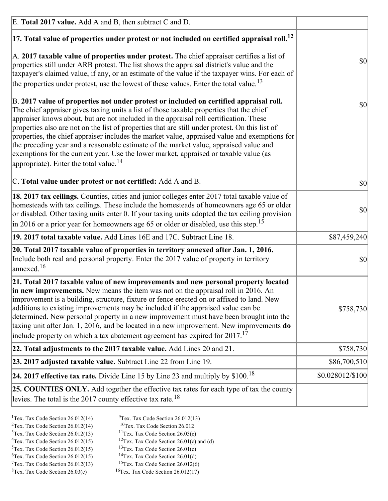| E. Total 2017 value. Add A and B, then subtract C and D.                                                                                                                                                                                                                                                                                                                                                                                                                                                                                                                                                                                                                                                                 |                  |
|--------------------------------------------------------------------------------------------------------------------------------------------------------------------------------------------------------------------------------------------------------------------------------------------------------------------------------------------------------------------------------------------------------------------------------------------------------------------------------------------------------------------------------------------------------------------------------------------------------------------------------------------------------------------------------------------------------------------------|------------------|
| $ 17$ . Total value of properties under protest or not included on certified appraisal roll. <sup>12</sup>                                                                                                                                                                                                                                                                                                                                                                                                                                                                                                                                                                                                               |                  |
| A. 2017 taxable value of properties under protest. The chief appraiser certifies a list of<br>properties still under ARB protest. The list shows the appraisal district's value and the<br>taxpayer's claimed value, if any, or an estimate of the value if the taxpayer wins. For each of<br>the properties under protest, use the lowest of these values. Enter the total value. <sup>13</sup>                                                                                                                                                                                                                                                                                                                         | \$0              |
| B. 2017 value of properties not under protest or included on certified appraisal roll.<br>The chief appraiser gives taxing units a list of those taxable properties that the chief<br>appraiser knows about, but are not included in the appraisal roll certification. These<br>properties also are not on the list of properties that are still under protest. On this list of<br>properties, the chief appraiser includes the market value, appraised value and exemptions for<br>the preceding year and a reasonable estimate of the market value, appraised value and<br>exemptions for the current year. Use the lower market, appraised or taxable value (as<br>appropriate). Enter the total value. <sup>14</sup> | \$0              |
| C. Total value under protest or not certified: Add A and B.                                                                                                                                                                                                                                                                                                                                                                                                                                                                                                                                                                                                                                                              | \$0              |
| 18. 2017 tax ceilings. Counties, cities and junior colleges enter 2017 total taxable value of<br>homesteads with tax ceilings. These include the homesteads of homeowners age 65 or older<br>or disabled. Other taxing units enter 0. If your taxing units adopted the tax ceiling provision<br>in 2016 or a prior year for homeowners age 65 or older or disabled, use this step. <sup>15</sup>                                                                                                                                                                                                                                                                                                                         | \$0              |
| 19. 2017 total taxable value. Add Lines 16E and 17C. Subtract Line 18.                                                                                                                                                                                                                                                                                                                                                                                                                                                                                                                                                                                                                                                   | \$87,459,240     |
| 20. Total 2017 taxable value of properties in territory annexed after Jan. 1, 2016.<br>Include both real and personal property. Enter the 2017 value of property in territory<br>$\text{anne}$ xed. <sup>16</sup>                                                                                                                                                                                                                                                                                                                                                                                                                                                                                                        | \$0              |
| 21. Total 2017 taxable value of new improvements and new personal property located<br>in new improvements. New means the item was not on the appraisal roll in 2016. An<br>improvement is a building, structure, fixture or fence erected on or affixed to land. New<br>additions to existing improvements may be included if the appraised value can be<br>determined. New personal property in a new improvement must have been brought into the<br>taxing unit after Jan. 1, 2016, and be located in a new improvement. New improvements do<br>include property on which a tax abatement agreement has expired for $2017$ . <sup>17</sup>                                                                             | \$758,730        |
| 22. Total adjustments to the 2017 taxable value. Add Lines 20 and 21.                                                                                                                                                                                                                                                                                                                                                                                                                                                                                                                                                                                                                                                    | \$758,730        |
| 23. 2017 adjusted taxable value. Subtract Line 22 from Line 19.                                                                                                                                                                                                                                                                                                                                                                                                                                                                                                                                                                                                                                                          | \$86,700,510     |
| 24. 2017 effective tax rate. Divide Line 15 by Line 23 and multiply by $$100$ . <sup>18</sup>                                                                                                                                                                                                                                                                                                                                                                                                                                                                                                                                                                                                                            | \$0.028012/\$100 |
| <b>25. COUNTIES ONLY.</b> Add together the effective tax rates for each type of tax the county<br>levies. The total is the 2017 county effective tax rate. <sup>18</sup>                                                                                                                                                                                                                                                                                                                                                                                                                                                                                                                                                 |                  |

- <sup>2</sup>Tex. Tax Code Section 26.012(14)
- <sup>1</sup>Tex. Tax Code Section 26.012(14) <sup>9</sup>Tex. Tax Code Section 26.012(13) <sup>9</sup>Tex. Tax Code Section 26.012
	-
- <sup>3</sup>Tex. Tax Code Section 26.012(13) <sup>11</sup>Tex. Tax Code Section 26.03(c) <sup>4</sup>Tex. Tax Code Section 26.01(c) and <sup>12</sup>Tex. Tax Code Section 26.01(c) and <sup>12</sup>Tex. Tax Code Section 26.01(c) and <sup>12</sup>Tex. Tax Code Section 26.01(c)
	- <sup>12</sup>Tex. Tax Code Section 26.01(c) and (d)
- 
- <sup>5</sup>Tex. Tax Code Section 26.012(15) <sup>13</sup>Tex. Tax Code Section 26.01(c) <sup>6</sup>Tex. Tax Code Section 26.01(d)
- <sup>6</sup>Tex. Tax Code Section 26.012(15) <sup>14</sup>Tex. Tax Code Section 26.01(d)<sup>7</sup>Tex. Tax Code Section 26.012(6)  $7$ Tex. Tax Code Section 26.012(13)
- 
- 
- ${}^{8}$ Tex. Tax Code Section 26.03(c)  ${}^{16}$ Tex. Tax Code Section 26.012(17)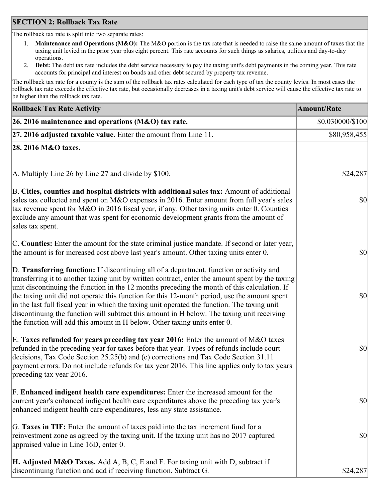## **SECTION 2: Rollback Tax Rate**

The rollback tax rate is split into two separate rates:

- 1. **Maintenance and Operations (M&O):** The M&O portion is the tax rate that is needed to raise the same amount of taxes that the taxing unit levied in the prior year plus eight percent. This rate accounts for such things as salaries, utilities and day-to-day operations.
- 2. **Debt:** The debt tax rate includes the debt service necessary to pay the taxing unit's debt payments in the coming year. This rate accounts for principal and interest on bonds and other debt secured by property tax revenue.

The rollback tax rate for a county is the sum of the rollback tax rates calculated for each type of tax the county levies. In most cases the rollback tax rate exceeds the effective tax rate, but occasionally decreases in a taxing unit's debt service will cause the effective tax rate to be higher than the rollback tax rate.

| <b>Rollback Tax Rate Activity</b>                                                                                                                                                                                                                                                                                                                                                                                                                                                                                                                                                                                                                                       | <b>Amount/Rate</b> |
|-------------------------------------------------------------------------------------------------------------------------------------------------------------------------------------------------------------------------------------------------------------------------------------------------------------------------------------------------------------------------------------------------------------------------------------------------------------------------------------------------------------------------------------------------------------------------------------------------------------------------------------------------------------------------|--------------------|
| 26. 2016 maintenance and operations (M&O) tax rate.                                                                                                                                                                                                                                                                                                                                                                                                                                                                                                                                                                                                                     | \$0.030000/\$100   |
| $ 27.2016$ adjusted taxable value. Enter the amount from Line 11.                                                                                                                                                                                                                                                                                                                                                                                                                                                                                                                                                                                                       | \$80,958,455       |
| 28. 2016 M&O taxes.                                                                                                                                                                                                                                                                                                                                                                                                                                                                                                                                                                                                                                                     |                    |
|                                                                                                                                                                                                                                                                                                                                                                                                                                                                                                                                                                                                                                                                         |                    |
| A. Multiply Line 26 by Line 27 and divide by \$100.                                                                                                                                                                                                                                                                                                                                                                                                                                                                                                                                                                                                                     | \$24,287           |
| B. Cities, counties and hospital districts with additional sales tax: Amount of additional<br>sales tax collected and spent on M&O expenses in 2016. Enter amount from full year's sales<br>tax revenue spent for M&O in 2016 fiscal year, if any. Other taxing units enter 0. Counties<br>exclude any amount that was spent for economic development grants from the amount of<br>sales tax spent.                                                                                                                                                                                                                                                                     | 30                 |
| C. Counties: Enter the amount for the state criminal justice mandate. If second or later year,<br>the amount is for increased cost above last year's amount. Other taxing units enter 0.                                                                                                                                                                                                                                                                                                                                                                                                                                                                                | $ 10\rangle$       |
| D. Transferring function: If discontinuing all of a department, function or activity and<br>transferring it to another taxing unit by written contract, enter the amount spent by the taxing<br>unit discontinuing the function in the 12 months preceding the month of this calculation. If<br>the taxing unit did not operate this function for this 12-month period, use the amount spent<br>in the last full fiscal year in which the taxing unit operated the function. The taxing unit<br>discontinuing the function will subtract this amount in H below. The taxing unit receiving<br>the function will add this amount in H below. Other taxing units enter 0. | \$0                |
| E. Taxes refunded for years preceding tax year 2016: Enter the amount of M&O taxes<br>refunded in the preceding year for taxes before that year. Types of refunds include court<br>decisions, Tax Code Section 25.25(b) and (c) corrections and Tax Code Section 31.11<br>payment errors. Do not include refunds for tax year 2016. This line applies only to tax years<br>preceding tax year 2016.                                                                                                                                                                                                                                                                     | \$0                |
| F. Enhanced indigent health care expenditures: Enter the increased amount for the<br>current year's enhanced indigent health care expenditures above the preceding tax year's<br>enhanced indigent health care expenditures, less any state assistance.                                                                                                                                                                                                                                                                                                                                                                                                                 | $ 10\rangle$       |
| G. Taxes in TIF: Enter the amount of taxes paid into the tax increment fund for a<br>reinvestment zone as agreed by the taxing unit. If the taxing unit has no 2017 captured<br>appraised value in Line 16D, enter 0.                                                                                                                                                                                                                                                                                                                                                                                                                                                   | $ 10\rangle$       |
| <b>H. Adjusted M&amp;O Taxes.</b> Add A, B, C, E and F. For taxing unit with D, subtract if<br>discontinuing function and add if receiving function. Subtract G.                                                                                                                                                                                                                                                                                                                                                                                                                                                                                                        | \$24,287           |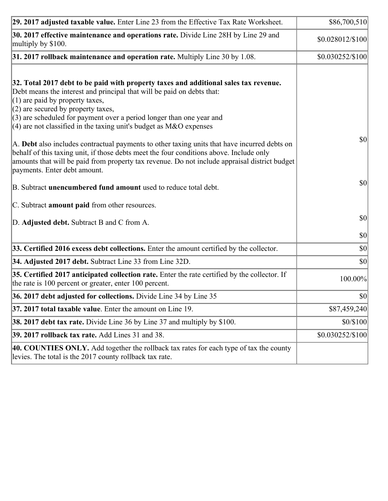| 29. 2017 adjusted taxable value. Enter Line 23 from the Effective Tax Rate Worksheet.                                                                                                                                                                                                                                                                                                                                                                                                                                                                                                                                                                                                                                     | \$86,700,510     |
|---------------------------------------------------------------------------------------------------------------------------------------------------------------------------------------------------------------------------------------------------------------------------------------------------------------------------------------------------------------------------------------------------------------------------------------------------------------------------------------------------------------------------------------------------------------------------------------------------------------------------------------------------------------------------------------------------------------------------|------------------|
| 30. 2017 effective maintenance and operations rate. Divide Line 28H by Line 29 and<br>multiply by \$100.                                                                                                                                                                                                                                                                                                                                                                                                                                                                                                                                                                                                                  | \$0.028012/\$100 |
| $31.2017$ rollback maintenance and operation rate. Multiply Line 30 by 1.08.                                                                                                                                                                                                                                                                                                                                                                                                                                                                                                                                                                                                                                              | \$0.030252/\$100 |
| 32. Total 2017 debt to be paid with property taxes and additional sales tax revenue.<br>Debt means the interest and principal that will be paid on debts that:<br>$(1)$ are paid by property taxes,<br>$(2)$ are secured by property taxes,<br>$(3)$ are scheduled for payment over a period longer than one year and<br>(4) are not classified in the taxing unit's budget as $M&O$ expenses<br>A. Debt also includes contractual payments to other taxing units that have incurred debts on<br>behalf of this taxing unit, if those debts meet the four conditions above. Include only<br>amounts that will be paid from property tax revenue. Do not include appraisal district budget<br>payments. Enter debt amount. | $ 10\rangle$     |
| B. Subtract unencumbered fund amount used to reduce total debt.                                                                                                                                                                                                                                                                                                                                                                                                                                                                                                                                                                                                                                                           | $ 10\rangle$     |
| C. Subtract <b>amount paid</b> from other resources.                                                                                                                                                                                                                                                                                                                                                                                                                                                                                                                                                                                                                                                                      |                  |
| D. Adjusted debt. Subtract B and C from A.                                                                                                                                                                                                                                                                                                                                                                                                                                                                                                                                                                                                                                                                                | $ 10\rangle$     |
|                                                                                                                                                                                                                                                                                                                                                                                                                                                                                                                                                                                                                                                                                                                           | $ 10\rangle$     |
| 33. Certified 2016 excess debt collections. Enter the amount certified by the collector.                                                                                                                                                                                                                                                                                                                                                                                                                                                                                                                                                                                                                                  | $ 10\rangle$     |
| 34. Adjusted 2017 debt. Subtract Line 33 from Line 32D.                                                                                                                                                                                                                                                                                                                                                                                                                                                                                                                                                                                                                                                                   | $ 10\rangle$     |
| 35. Certified 2017 anticipated collection rate. Enter the rate certified by the collector. If<br>the rate is 100 percent or greater, enter 100 percent.                                                                                                                                                                                                                                                                                                                                                                                                                                                                                                                                                                   | 100.00%          |
| 36. 2017 debt adjusted for collections. Divide Line 34 by Line 35                                                                                                                                                                                                                                                                                                                                                                                                                                                                                                                                                                                                                                                         | $ 10\rangle$     |
| 37. 2017 total taxable value. Enter the amount on Line 19.                                                                                                                                                                                                                                                                                                                                                                                                                                                                                                                                                                                                                                                                | \$87,459,240     |
| <b>38. 2017 debt tax rate.</b> Divide Line 36 by Line 37 and multiply by \$100.                                                                                                                                                                                                                                                                                                                                                                                                                                                                                                                                                                                                                                           | \$0/\$100        |
| 39. 2017 rollback tax rate. Add Lines 31 and 38.                                                                                                                                                                                                                                                                                                                                                                                                                                                                                                                                                                                                                                                                          | \$0.030252/\$100 |
| 40. COUNTIES ONLY. Add together the rollback tax rates for each type of tax the county<br>levies. The total is the 2017 county rollback tax rate.                                                                                                                                                                                                                                                                                                                                                                                                                                                                                                                                                                         |                  |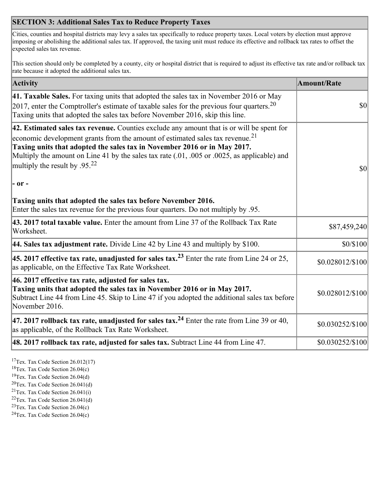## **SECTION 3: Additional Sales Tax to Reduce Property Taxes**

Cities, counties and hospital districts may levy a sales tax specifically to reduce property taxes. Local voters by election must approve imposing or abolishing the additional sales tax. If approved, the taxing unit must reduce its effective and rollback tax rates to offset the expected sales tax revenue.

This section should only be completed by a county, city or hospital district that is required to adjust its effective tax rate and/or rollback tax rate because it adopted the additional sales tax.

| <b>Activity</b>                                                                                                                                                                                                                                                                                                                                                                                                 | <b>Amount/Rate</b> |
|-----------------------------------------------------------------------------------------------------------------------------------------------------------------------------------------------------------------------------------------------------------------------------------------------------------------------------------------------------------------------------------------------------------------|--------------------|
| 41. Taxable Sales. For taxing units that adopted the sales tax in November 2016 or May<br>$[2017]$ , enter the Comptroller's estimate of taxable sales for the previous four quarters. <sup>20</sup><br>Taxing units that adopted the sales tax before November 2016, skip this line.                                                                                                                           | $\vert$ so $\vert$ |
| 42. Estimated sales tax revenue. Counties exclude any amount that is or will be spent for<br>economic development grants from the amount of estimated sales tax revenue. <sup>21</sup><br>Taxing units that adopted the sales tax in November 2016 or in May 2017.<br>Multiply the amount on Line 41 by the sales tax rate (.01, .005 or .0025, as applicable) and<br>multiply the result by .95. <sup>22</sup> | \$0                |
| - or -                                                                                                                                                                                                                                                                                                                                                                                                          |                    |
| Taxing units that adopted the sales tax before November 2016.<br>Enter the sales tax revenue for the previous four quarters. Do not multiply by .95.                                                                                                                                                                                                                                                            |                    |
| 43. 2017 total taxable value. Enter the amount from Line 37 of the Rollback Tax Rate<br>Worksheet.                                                                                                                                                                                                                                                                                                              | \$87,459,240       |
| 44. Sales tax adjustment rate. Divide Line 42 by Line 43 and multiply by $$100$ .                                                                                                                                                                                                                                                                                                                               | \$0/\$100          |
| 45. 2017 effective tax rate, unadjusted for sales tax. <sup>23</sup> Enter the rate from Line 24 or 25,<br>as applicable, on the Effective Tax Rate Worksheet.                                                                                                                                                                                                                                                  | \$0.028012/\$100   |
| 46. 2017 effective tax rate, adjusted for sales tax.<br>Taxing units that adopted the sales tax in November 2016 or in May 2017.<br>Subtract Line 44 from Line 45. Skip to Line 47 if you adopted the additional sales tax before<br>November 2016.                                                                                                                                                             | \$0.028012/\$100   |
| 47. 2017 rollback tax rate, unadjusted for sales tax. <sup>24</sup> Enter the rate from Line 39 or 40,<br>as applicable, of the Rollback Tax Rate Worksheet.                                                                                                                                                                                                                                                    | \$0.030252/\$100   |
| $ 48.2017$ rollback tax rate, adjusted for sales tax. Subtract Line 44 from Line 47.                                                                                                                                                                                                                                                                                                                            | \$0.030252/\$100   |

<sup>17</sup>Tex. Tax Code Section 26.012(17)

<sup>18</sup>Tex. Tax Code Section 26.04(c)

<sup>19</sup>Tex. Tax Code Section 26.04(d)

<sup>20</sup>Tex. Tax Code Section 26.041(d)

- $21$ Tex. Tax Code Section 26.041(i)
- <sup>22</sup>Tex. Tax Code Section 26.041(d)
- <sup>23</sup>Tex. Tax Code Section  $26.04(c)$

<sup>24</sup>Tex. Tax Code Section  $26.04(c)$